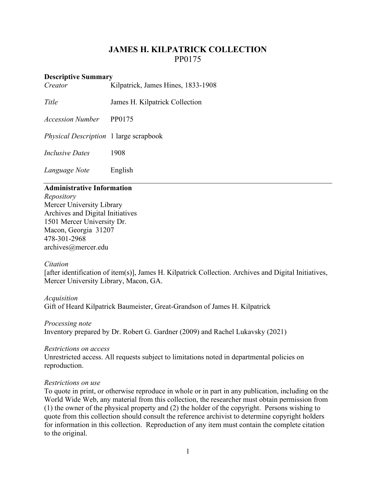# **JAMES H. KILPATRICK COLLECTION** PP0175

#### **Descriptive Summary**

*Creator* Kilpatrick, James Hines, 1833-1908

*Title* James H. Kilpatrick Collection

*Accession Number* PP0175

*Physical Description* 1 large scrapbook

*Inclusive Dates* 1908

*Language Note* English

## **Administrative Information**

*Repository* Mercer University Library Archives and Digital Initiatives 1501 Mercer University Dr. Macon, Georgia 31207 478-301-2968 [archives@mercer.edu](mailto:archives@mercer.edu)

## *Citation*

[after identification of item(s)], James H. Kilpatrick Collection. Archives and Digital Initiatives, Mercer University Library, Macon, GA.

## *Acquisition* Gift of Heard Kilpatrick Baumeister, Great-Grandson of James H. Kilpatrick

*Processing note* Inventory prepared by Dr. Robert G. Gardner (2009) and Rachel Lukavsky (2021)

#### *Restrictions on access*

Unrestricted access. All requests subject to limitations noted in departmental policies on reproduction.

## *Restrictions on use*

To quote in print, or otherwise reproduce in whole or in part in any publication, including on the World Wide Web, any material from this collection, the researcher must obtain permission from (1) the owner of the physical property and (2) the holder of the copyright. Persons wishing to quote from this collection should consult the reference archivist to determine copyright holders for information in this collection. Reproduction of any item must contain the complete citation to the original.